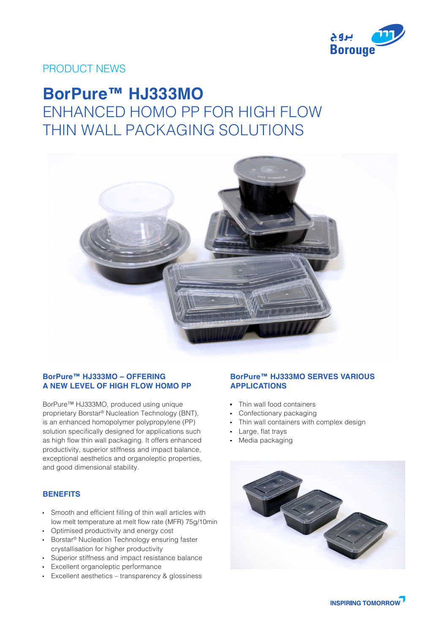

## PRODUCT NEWS

# **BorPure™ HJ333MO** ENHANCED HOMO PP FOR HIGH FLOW THIN WALL PACKAGING SOLUTIONS



#### **BorPure™ HJ333MO – OFFERING A NEW LEVEL OF HIGH FLOW HOMO PP**

BorPure™ HJ333MO, produced using unique proprietary Borstar® Nucleation Technology (BNT), is an enhanced homopolymer polypropylene (PP) solution specifically designed for applications such as high flow thin wall packaging. It offers enhanced productivity, superior stiffness and impact balance, exceptional aesthetics and organoleptic properties, and good dimensional stability.

### **BENEFITS**

- Smooth and efficient filling of thin wall articles with low melt temperature at melt flow rate (MFR) 75g/10min
- Optimised productivity and energy cost
- **Borstar<sup>®</sup> Nucleation Technology ensuring faster** crystallisation for higher productivity
- Superior stiffness and impact resistance balance
- Excellent organoleptic performance
- Excellent aesthetics transparency & glossiness

#### **BorPure™ HJ333MO SERVES VARIOUS APPLICATIONS**

- Thin wall food containers
- Confectionary packaging
- Thin wall containers with complex design
- Large, flat trays
- Media packaging